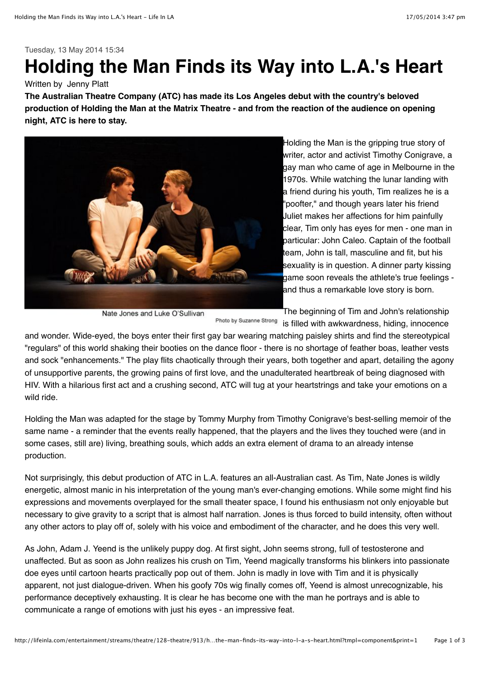## Tuesday, 13 May 2014 15:34

## **Holding the Man Finds its Way into L.A.'s Heart**

## Written by Jenny Platt

**The Australian Theatre Company (ATC) has made its Los Angeles debut with the country's beloved production of Holding the Man at the Matrix Theatre - and from the reaction of the audience on opening night, ATC is here to stay.**



Holding the Man is the gripping true story of writer, actor and activist Timothy Conigrave, a gay man who came of age in Melbourne in the 1970s. While watching the lunar landing with a friend during his youth, Tim realizes he is a "poofter," and though years later his friend Juliet makes her affections for him painfully clear, Tim only has eyes for men - one man in particular: John Caleo. Captain of the football team, John is tall, masculine and fit, but his sexuality is in question. A dinner party kissing game soon reveals the athlete's true feelings and thus a remarkable love story is born.

Nate Jones and Luke O'Sullivan

The beginning of Tim and John's relationship Photo by Suzanne Strong is filled with awkwardness, hiding, innocence

and wonder. Wide-eyed, the boys enter their first gay bar wearing matching paisley shirts and find the stereotypical "regulars" of this world shaking their booties on the dance floor - there is no shortage of feather boas, leather vests and sock "enhancements." The play flits chaotically through their years, both together and apart, detailing the agony of unsupportive parents, the growing pains of first love, and the unadulterated heartbreak of being diagnosed with HIV. With a hilarious first act and a crushing second, ATC will tug at your heartstrings and take your emotions on a wild ride.

Holding the Man was adapted for the stage by Tommy Murphy from Timothy Conigrave's best-selling memoir of the same name - a reminder that the events really happened, that the players and the lives they touched were (and in some cases, still are) living, breathing souls, which adds an extra element of drama to an already intense production.

Not surprisingly, this debut production of ATC in L.A. features an all-Australian cast. As Tim, Nate Jones is wildly energetic, almost manic in his interpretation of the young man's ever-changing emotions. While some might find his expressions and movements overplayed for the small theater space, I found his enthusiasm not only enjoyable but necessary to give gravity to a script that is almost half narration. Jones is thus forced to build intensity, often without any other actors to play off of, solely with his voice and embodiment of the character, and he does this very well.

As John, Adam J. Yeend is the unlikely puppy dog. At first sight, John seems strong, full of testosterone and unaffected. But as soon as John realizes his crush on Tim, Yeend magically transforms his blinkers into passionate doe eyes until cartoon hearts practically pop out of them. John is madly in love with Tim and it is physically apparent, not just dialogue-driven. When his goofy 70s wig finally comes off, Yeend is almost unrecognizable, his performance deceptively exhausting. It is clear he has become one with the man he portrays and is able to communicate a range of emotions with just his eyes - an impressive feat.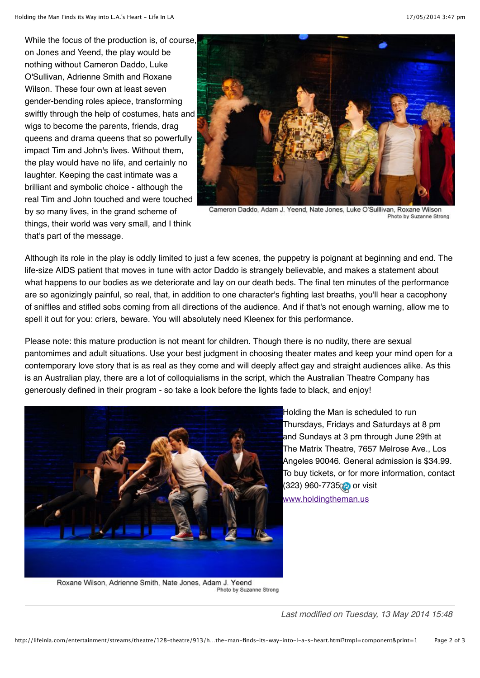While the focus of the production is, of course, on Jones and Yeend, the play would be nothing without Cameron Daddo, Luke O'Sullivan, Adrienne Smith and Roxane Wilson. These four own at least seven gender-bending roles apiece, transforming swiftly through the help of costumes, hats and wigs to become the parents, friends, drag queens and drama queens that so powerfully impact Tim and John's lives. Without them, the play would have no life, and certainly no laughter. Keeping the cast intimate was a brilliant and symbolic choice - although the real Tim and John touched and were touched by so many lives, in the grand scheme of things, their world was very small, and I think that's part of the message.



Cameron Daddo, Adam J. Yeend, Nate Jones, Luke O'Sulllivan, Roxane Wilson Photo by Suzanne Strong

Although its role in the play is oddly limited to just a few scenes, the puppetry is poignant at beginning and end. The life-size AIDS patient that moves in tune with actor Daddo is strangely believable, and makes a statement about what happens to our bodies as we deteriorate and lay on our death beds. The final ten minutes of the performance are so agonizingly painful, so real, that, in addition to one character's fighting last breaths, you'll hear a cacophony of sniffles and stifled sobs coming from all directions of the audience. And if that's not enough warning, allow me to spell it out for you: criers, beware. You will absolutely need Kleenex for this performance.

Please note: this mature production is not meant for children. Though there is no nudity, there are sexual pantomimes and adult situations. Use your best judgment in choosing theater mates and keep your mind open for a contemporary love story that is as real as they come and will deeply affect gay and straight audiences alike. As this is an Australian play, there are a lot of colloquialisms in the script, which the Australian Theatre Company has generously defined in their program - so take a look before the lights fade to black, and enjoy!



Holding the Man is scheduled to run Thursdays, Fridays and Saturdays at 8 pm and Sundays at 3 pm through June 29th at The Matrix Theatre, 7657 Melrose Ave., Los Angeles 90046. General admission is \$34.99. To buy tickets, or for more information, contact (323) 960-7735 **or** visit www.holdingtheman.us

Roxane Wilson, Adrienne Smith, Nate Jones, Adam J. Yeend Photo by Suzanne Strong

*Last modified on Tuesday, 13 May 2014 15:48*